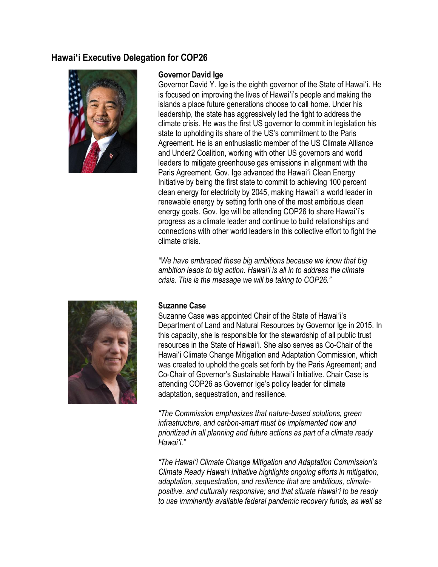# **Hawaiʻi Executive Delegation for COP26**



### **Governor David Ige**

Governor David Y. Ige is the eighth governor of the State of Hawaiʻi. He is focused on improving the lives of Hawaiʻi's people and making the islands a place future generations choose to call home. Under his leadership, the state has aggressively led the fight to address the climate crisis. He was the first US governor to commit in legislation his state to upholding its share of the US's commitment to the Paris Agreement. He is an enthusiastic member of the US Climate Alliance and Under2 Coalition, working with other US governors and world leaders to mitigate greenhouse gas emissions in alignment with the Paris Agreement. Gov. Ige advanced the Hawaiʻi Clean Energy Initiative by being the first state to commit to achieving 100 percent clean energy for electricity by 2045, making Hawaiʻi a world leader in renewable energy by setting forth one of the most ambitious clean energy goals. Gov. Ige will be attending COP26 to share Hawaiʻi's progress as a climate leader and continue to build relationships and connections with other world leaders in this collective effort to fight the climate crisis.

*"We have embraced these big ambitions because we know that big ambition leads to big action. Hawai'i is all in to address the climate crisis. This is the message we will be taking to COP26."*



### **Suzanne Case**

Suzanne Case was appointed Chair of the State of Hawaiʻi's Department of Land and Natural Resources by Governor Ige in 2015. In this capacity, she is responsible for the stewardship of all public trust resources in the State of Hawaiʻi. She also serves as Co-Chair of the Hawaiʻi Climate Change Mitigation and Adaptation Commission, which was created to uphold the goals set forth by the Paris Agreement; and Co-Chair of Governor's Sustainable Hawaiʻi Initiative. Chair Case is attending COP26 as Governor Ige's policy leader for climate adaptation, sequestration, and resilience.

*"The Commission emphasizes that nature-based solutions, green infrastructure, and carbon-smart must be implemented now and prioritized in all planning and future actions as part of a climate ready Hawaiʻi."*

*"The Hawaiʻi Climate Change Mitigation and Adaptation Commission's Climate Ready Hawai'i Initiative highlights ongoing efforts in mitigation, adaptation, sequestration, and resilience that are ambitious, climatepositive, and culturally responsive; and that situate Hawaiʻi to be ready to use imminently available federal pandemic recovery funds, as well as*